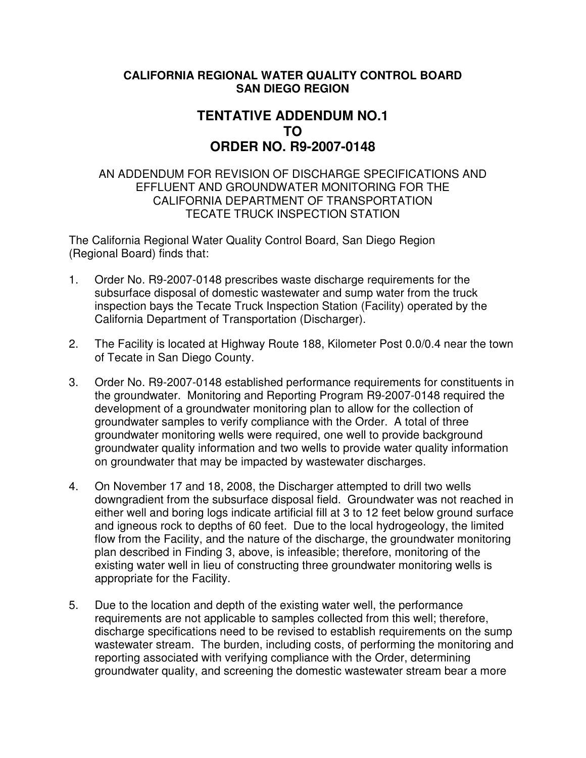## **CALIFORNIA REGIONAL WATER QUALITY CONTROL BOARD SAN DIEGO REGION**

## **TENTATIVE ADDENDUM NO.1 TO ORDER NO. R9-2007-0148**

## AN ADDENDUM FOR REVISION OF DISCHARGE SPECIFICATIONS AND EFFLUENT AND GROUNDWATER MONITORING FOR THE CALIFORNIA DEPARTMENT OF TRANSPORTATION TECATE TRUCK INSPECTION STATION

The California Regional Water Quality Control Board, San Diego Region (Regional Board) finds that:

- 1. Order No. R9-2007-0148 prescribes waste discharge requirements for the subsurface disposal of domestic wastewater and sump water from the truck inspection bays the Tecate Truck Inspection Station (Facility) operated by the California Department of Transportation (Discharger).
- 2. The Facility is located at Highway Route 188, Kilometer Post 0.0/0.4 near the town of Tecate in San Diego County.
- 3. Order No. R9-2007-0148 established performance requirements for constituents in the groundwater. Monitoring and Reporting Program R9-2007-0148 required the development of a groundwater monitoring plan to allow for the collection of groundwater samples to verify compliance with the Order. A total of three groundwater monitoring wells were required, one well to provide background groundwater quality information and two wells to provide water quality information on groundwater that may be impacted by wastewater discharges.
- 4. On November 17 and 18, 2008, the Discharger attempted to drill two wells downgradient from the subsurface disposal field. Groundwater was not reached in either well and boring logs indicate artificial fill at 3 to 12 feet below ground surface and igneous rock to depths of 60 feet. Due to the local hydrogeology, the limited flow from the Facility, and the nature of the discharge, the groundwater monitoring plan described in Finding 3, above, is infeasible; therefore, monitoring of the existing water well in lieu of constructing three groundwater monitoring wells is appropriate for the Facility.
- 5. Due to the location and depth of the existing water well, the performance requirements are not applicable to samples collected from this well; therefore, discharge specifications need to be revised to establish requirements on the sump wastewater stream. The burden, including costs, of performing the monitoring and reporting associated with verifying compliance with the Order, determining groundwater quality, and screening the domestic wastewater stream bear a more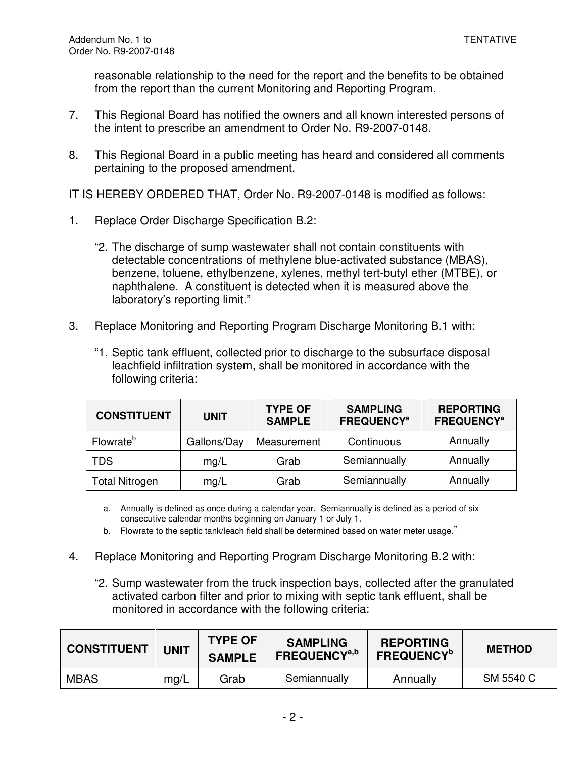reasonable relationship to the need for the report and the benefits to be obtained from the report than the current Monitoring and Reporting Program.

- 7. This Regional Board has notified the owners and all known interested persons of the intent to prescribe an amendment to Order No. R9-2007-0148.
- 8. This Regional Board in a public meeting has heard and considered all comments pertaining to the proposed amendment.

IT IS HEREBY ORDERED THAT, Order No. R9-2007-0148 is modified as follows:

- 1. Replace Order Discharge Specification B.2:
	- "2. The discharge of sump wastewater shall not contain constituents with detectable concentrations of methylene blue-activated substance (MBAS), benzene, toluene, ethylbenzene, xylenes, methyl tert-butyl ether (MTBE), or naphthalene. A constituent is detected when it is measured above the laboratory's reporting limit."
- 3. Replace Monitoring and Reporting Program Discharge Monitoring B.1 with:
	- "1. Septic tank effluent, collected prior to discharge to the subsurface disposal leachfield infiltration system, shall be monitored in accordance with the following criteria:

| <b>CONSTITUENT</b>    | <b>UNIT</b> | <b>TYPE OF</b><br><b>SAMPLE</b> | <b>SAMPLING</b><br><b>FREQUENCY<sup>a</sup></b> | <b>REPORTING</b><br><b>FREQUENCY<sup>a</sup></b> |
|-----------------------|-------------|---------------------------------|-------------------------------------------------|--------------------------------------------------|
| Flowrate <sup>b</sup> | Gallons/Day | Measurement                     | Continuous                                      | Annually                                         |
| <b>TDS</b>            | mg/L        | Grab                            | Semiannually                                    | Annually                                         |
| <b>Total Nitrogen</b> | mg/L        | Grab                            | Semiannually                                    | Annually                                         |

- a. Annually is defined as once during a calendar year. Semiannually is defined as a period of six consecutive calendar months beginning on January 1 or July 1.
- b. Flowrate to the septic tank/leach field shall be determined based on water meter usage."
- 4. Replace Monitoring and Reporting Program Discharge Monitoring B.2 with:
	- "2. Sump wastewater from the truck inspection bays, collected after the granulated activated carbon filter and prior to mixing with septic tank effluent, shall be monitored in accordance with the following criteria:

| <b>CONSTITUENT</b> | <b>UNIT</b> | <b>TYPE OF</b><br><b>SAMPLE</b> | <b>SAMPLING</b><br><b>FREQUENCY<sup>a,b</sup></b> | <b>REPORTING</b><br><b>FREQUENCY</b> <sup>b</sup> | <b>METHOD</b> |
|--------------------|-------------|---------------------------------|---------------------------------------------------|---------------------------------------------------|---------------|
| <b>MBAS</b>        | mg/L        | Grab                            | Semiannually                                      | Annually                                          | SM 5540 C     |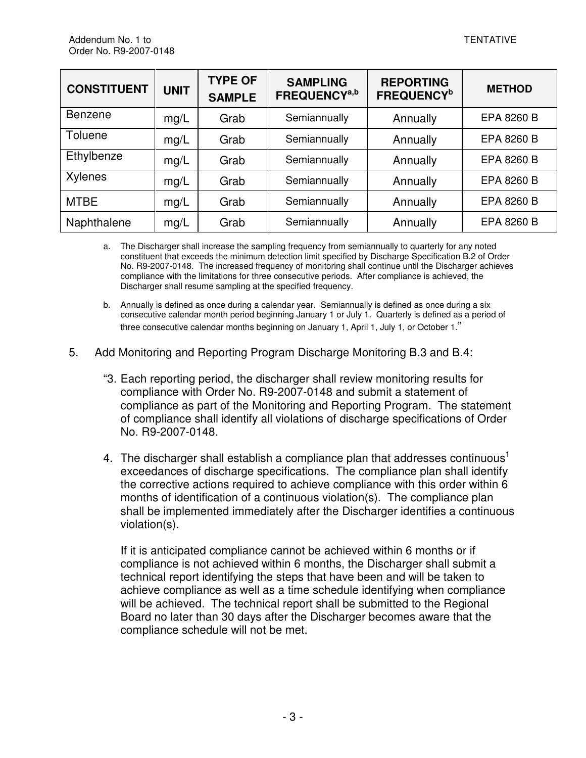| <b>CONSTITUENT</b> | <b>UNIT</b> | <b>TYPE OF</b><br><b>SAMPLE</b> | <b>SAMPLING</b><br>FREQUENCY <sup>a,b</sup> | <b>REPORTING</b><br><b>FREQUENCY</b> <sup>b</sup> | <b>METHOD</b> |
|--------------------|-------------|---------------------------------|---------------------------------------------|---------------------------------------------------|---------------|
| Benzene            | mg/L        | Grab                            | Semiannually                                | Annually                                          | EPA 8260 B    |
| Toluene            | mg/L        | Grab                            | Semiannually                                | Annually                                          | EPA 8260 B    |
| Ethylbenze         | mg/L        | Grab                            | Semiannually                                | Annually                                          | EPA 8260 B    |
| Xylenes            | mg/L        | Grab                            | Semiannually                                | Annually                                          | EPA 8260 B    |
| <b>MTBE</b>        | mg/L        | Grab                            | Semiannually                                | Annually                                          | EPA 8260 B    |
| Naphthalene        | mg/L        | Grab                            | Semiannually                                | Annually                                          | EPA 8260 B    |

a. The Discharger shall increase the sampling frequency from semiannually to quarterly for any noted constituent that exceeds the minimum detection limit specified by Discharge Specification B.2 of Order No. R9-2007-0148. The increased frequency of monitoring shall continue until the Discharger achieves compliance with the limitations for three consecutive periods. After compliance is achieved, the Discharger shall resume sampling at the specified frequency.

- b. Annually is defined as once during a calendar year. Semiannually is defined as once during a six consecutive calendar month period beginning January 1 or July 1. Quarterly is defined as a period of three consecutive calendar months beginning on January 1, April 1, July 1, or October 1."
- 5. Add Monitoring and Reporting Program Discharge Monitoring B.3 and B.4:
	- "3. Each reporting period, the discharger shall review monitoring results for compliance with Order No. R9-2007-0148 and submit a statement of compliance as part of the Monitoring and Reporting Program. The statement of compliance shall identify all violations of discharge specifications of Order No. R9-2007-0148.
	- 4. The discharger shall establish a compliance plan that addresses continuous<sup>1</sup> exceedances of discharge specifications. The compliance plan shall identify the corrective actions required to achieve compliance with this order within 6 months of identification of a continuous violation(s). The compliance plan shall be implemented immediately after the Discharger identifies a continuous violation(s).

If it is anticipated compliance cannot be achieved within 6 months or if compliance is not achieved within 6 months, the Discharger shall submit a technical report identifying the steps that have been and will be taken to achieve compliance as well as a time schedule identifying when compliance will be achieved. The technical report shall be submitted to the Regional Board no later than 30 days after the Discharger becomes aware that the compliance schedule will not be met.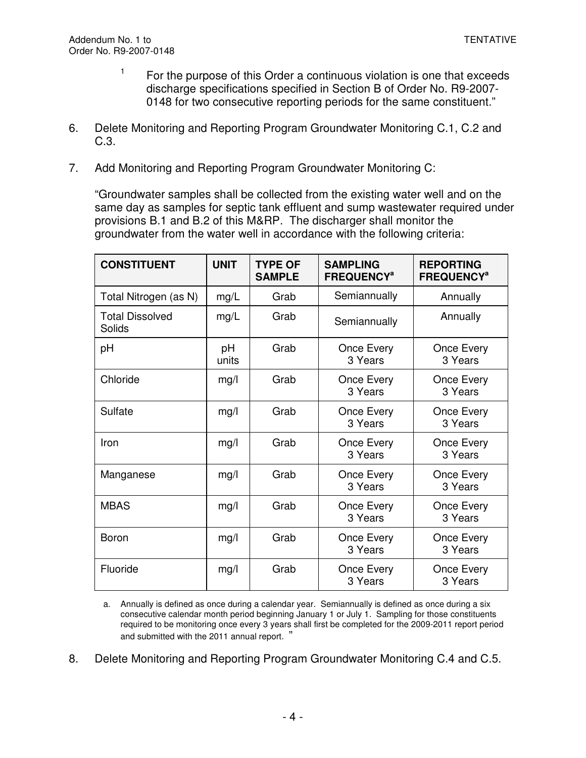- 1 For the purpose of this Order a continuous violation is one that exceeds discharge specifications specified in Section B of Order No. R9-2007- 0148 for two consecutive reporting periods for the same constituent."
- 6. Delete Monitoring and Reporting Program Groundwater Monitoring C.1, C.2 and C.3.
- 7. Add Monitoring and Reporting Program Groundwater Monitoring C:

"Groundwater samples shall be collected from the existing water well and on the same day as samples for septic tank effluent and sump wastewater required under provisions B.1 and B.2 of this M&RP. The discharger shall monitor the groundwater from the water well in accordance with the following criteria:

| <b>CONSTITUENT</b>               | <b>UNIT</b> | <b>TYPE OF</b><br><b>SAMPLE</b> | <b>SAMPLING</b><br><b>FREQUENCY<sup>a</sup></b> | <b>REPORTING</b><br><b>FREQUENCY<sup>a</sup></b> |
|----------------------------------|-------------|---------------------------------|-------------------------------------------------|--------------------------------------------------|
| Total Nitrogen (as N)            | mg/L        | Grab                            | Semiannually                                    | Annually                                         |
| <b>Total Dissolved</b><br>Solids | mg/L        | Grab                            | Semiannually                                    | Annually                                         |
| рH                               | pH<br>units | Grab                            | Once Every<br>3 Years                           | Once Every<br>3 Years                            |
| Chloride                         | mg/l        | Grab                            | Once Every<br>3 Years                           | Once Every<br>3 Years                            |
| Sulfate                          | mg/l        | Grab                            | Once Every<br>3 Years                           | Once Every<br>3 Years                            |
| Iron                             | mg/l        | Grab                            | Once Every<br>3 Years                           | Once Every<br>3 Years                            |
| Manganese                        | mg/l        | Grab                            | Once Every<br>3 Years                           | Once Every<br>3 Years                            |
| <b>MBAS</b>                      | mg/l        | Grab                            | Once Every<br>3 Years                           | Once Every<br>3 Years                            |
| Boron                            | mg/l        | Grab                            | Once Every<br>3 Years                           | Once Every<br>3 Years                            |
| Fluoride                         | mg/l        | Grab                            | Once Every<br>3 Years                           | Once Every<br>3 Years                            |

a. Annually is defined as once during a calendar year. Semiannually is defined as once during a six consecutive calendar month period beginning January 1 or July 1. Sampling for those constituents required to be monitoring once every 3 years shall first be completed for the 2009-2011 report period and submitted with the 2011 annual report. "

8. Delete Monitoring and Reporting Program Groundwater Monitoring C.4 and C.5.